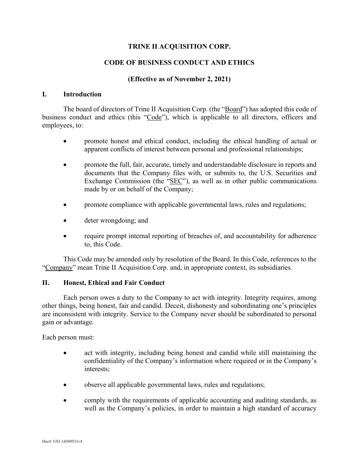# **TRINE II ACQUISITION CORP.**

## **CODE OF BUSINESS CONDUCT AND ETHICS**

## **(Effective as of November 2, 2021)**

#### **I. Introduction**

The board of directors of Trine II Acquisition Corp. (the "Board") has adopted this code of business conduct and ethics (this "Code"), which is applicable to all directors, officers and employees, to:

- promote honest and ethical conduct, including the ethical handling of actual or apparent conflicts of interest between personal and professional relationships;
- promote the full, fair, accurate, timely and understandable disclosure in reports and documents that the Company files with, or submits to, the U.S. Securities and Exchange Commission (the "SEC"), as well as in other public communications made by or on behalf of the Company;
- promote compliance with applicable governmental laws, rules and regulations;
- deter wrongdoing; and
- require prompt internal reporting of breaches of, and accountability for adherence to, this Code.

This Code may be amended only by resolution of the Board. In this Code, references to the "Company" mean Trine II Acquisition Corp. and, in appropriate context, its subsidiaries.

#### **II. Honest, Ethical and Fair Conduct**

Each person owes a duty to the Company to act with integrity. Integrity requires, among other things, being honest, fair and candid. Deceit, dishonesty and subordinating one's principles are inconsistent with integrity. Service to the Company never should be subordinated to personal gain or advantage.

Each person must:

- act with integrity, including being honest and candid while still maintaining the confidentiality of the Company's information where required or in the Company's interests;
- observe all applicable governmental laws, rules and regulations;
- comply with the requirements of applicable accounting and auditing standards, as well as the Company's policies, in order to maintain a high standard of accuracy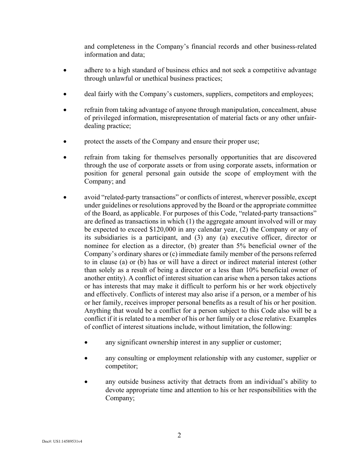and completeness in the Company's financial records and other business-related information and data;

- adhere to a high standard of business ethics and not seek a competitive advantage through unlawful or unethical business practices;
- deal fairly with the Company's customers, suppliers, competitors and employees;
- refrain from taking advantage of anyone through manipulation, concealment, abuse of privileged information, misrepresentation of material facts or any other unfairdealing practice;
- protect the assets of the Company and ensure their proper use;
- refrain from taking for themselves personally opportunities that are discovered through the use of corporate assets or from using corporate assets, information or position for general personal gain outside the scope of employment with the Company; and
- avoid "related-party transactions" or conflicts of interest, wherever possible, except under guidelines or resolutions approved by the Board or the appropriate committee of the Board, as applicable. For purposes of this Code, "related-party transactions" are defined as transactions in which (1) the aggregate amount involved will or may be expected to exceed \$120,000 in any calendar year, (2) the Company or any of its subsidiaries is a participant, and (3) any (a) executive officer, director or nominee for election as a director, (b) greater than 5% beneficial owner of the Company's ordinary shares or (c) immediate family member of the persons referred to in clause (a) or (b) has or will have a direct or indirect material interest (other than solely as a result of being a director or a less than 10% beneficial owner of another entity). A conflict of interest situation can arise when a person takes actions or has interests that may make it difficult to perform his or her work objectively and effectively. Conflicts of interest may also arise if a person, or a member of his or her family, receives improper personal benefits as a result of his or her position. Anything that would be a conflict for a person subject to this Code also will be a conflict if it is related to a member of his or her family or a close relative. Examples of conflict of interest situations include, without limitation, the following:
	- any significant ownership interest in any supplier or customer;
	- any consulting or employment relationship with any customer, supplier or competitor;
	- any outside business activity that detracts from an individual's ability to devote appropriate time and attention to his or her responsibilities with the Company;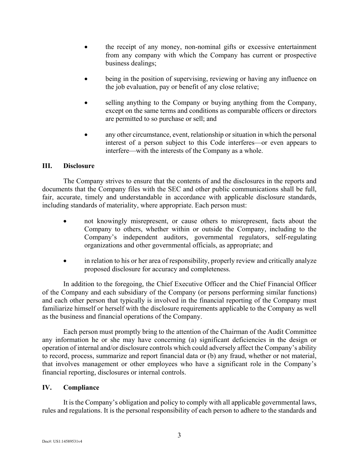- the receipt of any money, non-nominal gifts or excessive entertainment from any company with which the Company has current or prospective business dealings;
- being in the position of supervising, reviewing or having any influence on the job evaluation, pay or benefit of any close relative;
- selling anything to the Company or buying anything from the Company, except on the same terms and conditions as comparable officers or directors are permitted to so purchase or sell; and
- any other circumstance, event, relationship or situation in which the personal interest of a person subject to this Code interferes—or even appears to interfere—with the interests of the Company as a whole.

# **III. Disclosure**

The Company strives to ensure that the contents of and the disclosures in the reports and documents that the Company files with the SEC and other public communications shall be full, fair, accurate, timely and understandable in accordance with applicable disclosure standards, including standards of materiality, where appropriate. Each person must:

- not knowingly misrepresent, or cause others to misrepresent, facts about the Company to others, whether within or outside the Company, including to the Company's independent auditors, governmental regulators, self-regulating organizations and other governmental officials, as appropriate; and
- in relation to his or her area of responsibility, properly review and critically analyze proposed disclosure for accuracy and completeness.

In addition to the foregoing, the Chief Executive Officer and the Chief Financial Officer of the Company and each subsidiary of the Company (or persons performing similar functions) and each other person that typically is involved in the financial reporting of the Company must familiarize himself or herself with the disclosure requirements applicable to the Company as well as the business and financial operations of the Company.

Each person must promptly bring to the attention of the Chairman of the Audit Committee any information he or she may have concerning (a) significant deficiencies in the design or operation of internal and/or disclosure controls which could adversely affect the Company's ability to record, process, summarize and report financial data or (b) any fraud, whether or not material, that involves management or other employees who have a significant role in the Company's financial reporting, disclosures or internal controls.

## **IV. Compliance**

It is the Company's obligation and policy to comply with all applicable governmental laws, rules and regulations. It is the personal responsibility of each person to adhere to the standards and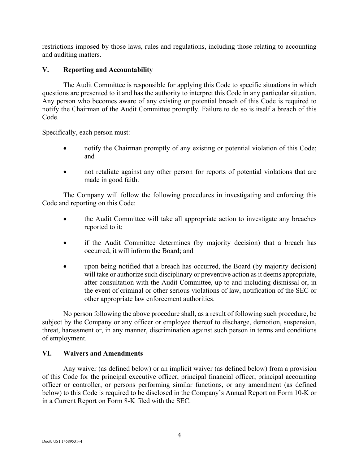restrictions imposed by those laws, rules and regulations, including those relating to accounting and auditing matters.

# **V. Reporting and Accountability**

The Audit Committee is responsible for applying this Code to specific situations in which questions are presented to it and has the authority to interpret this Code in any particular situation. Any person who becomes aware of any existing or potential breach of this Code is required to notify the Chairman of the Audit Committee promptly. Failure to do so is itself a breach of this Code.

Specifically, each person must:

- notify the Chairman promptly of any existing or potential violation of this Code; and
- not retaliate against any other person for reports of potential violations that are made in good faith.

The Company will follow the following procedures in investigating and enforcing this Code and reporting on this Code:

- the Audit Committee will take all appropriate action to investigate any breaches reported to it;
- if the Audit Committee determines (by majority decision) that a breach has occurred, it will inform the Board; and
- upon being notified that a breach has occurred, the Board (by majority decision) will take or authorize such disciplinary or preventive action as it deems appropriate, after consultation with the Audit Committee, up to and including dismissal or, in the event of criminal or other serious violations of law, notification of the SEC or other appropriate law enforcement authorities.

No person following the above procedure shall, as a result of following such procedure, be subject by the Company or any officer or employee thereof to discharge, demotion, suspension, threat, harassment or, in any manner, discrimination against such person in terms and conditions of employment.

## **VI. Waivers and Amendments**

Any waiver (as defined below) or an implicit waiver (as defined below) from a provision of this Code for the principal executive officer, principal financial officer, principal accounting officer or controller, or persons performing similar functions, or any amendment (as defined below) to this Code is required to be disclosed in the Company's Annual Report on Form 10-K or in a Current Report on Form 8-K filed with the SEC.